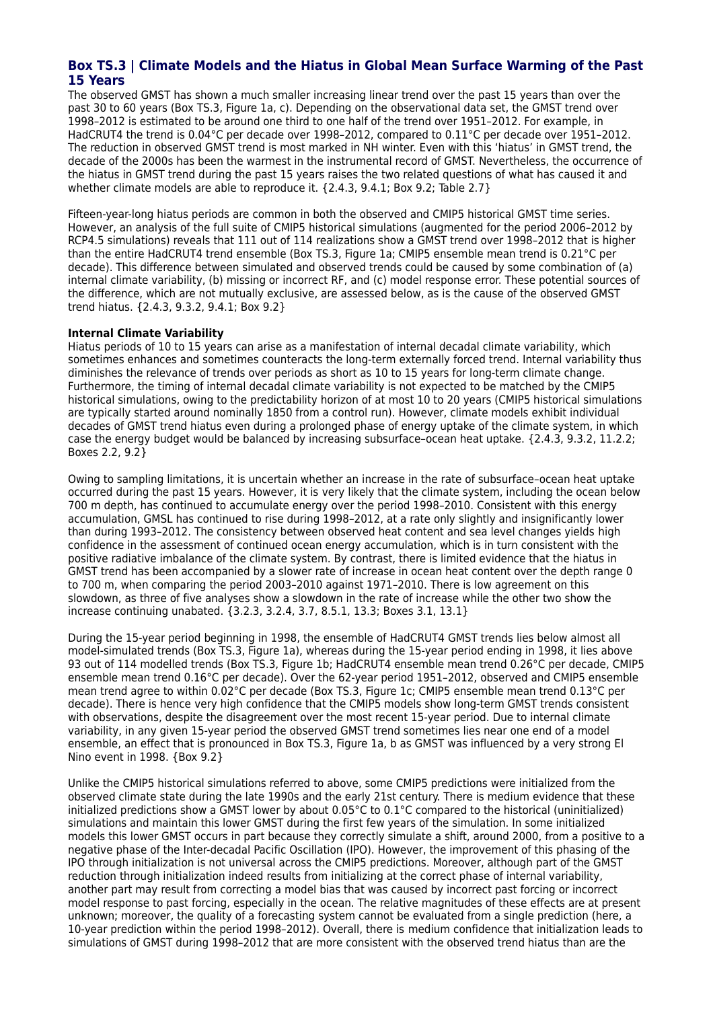## **Box TS.3 | Climate Models and the Hiatus in Global Mean Surface Warming of the Past 15 Years**

The observed GMST has shown a much smaller increasing linear trend over the past 15 years than over the past 30 to 60 years (Box TS.3, Figure 1a, c). Depending on the observational data set, the GMST trend over 1998–2012 is estimated to be around one third to one half of the trend over 1951–2012. For example, in HadCRUT4 the trend is 0.04°C per decade over 1998–2012, compared to 0.11°C per decade over 1951–2012. The reduction in observed GMST trend is most marked in NH winter. Even with this 'hiatus' in GMST trend, the decade of the 2000s has been the warmest in the instrumental record of GMST. Nevertheless, the occurrence of the hiatus in GMST trend during the past 15 years raises the two related questions of what has caused it and whether climate models are able to reproduce it. {2.4.3, 9.4.1; Box 9.2; Table 2.7}

Fifteen-year-long hiatus periods are common in both the observed and CMIP5 historical GMST time series. However, an analysis of the full suite of CMIP5 historical simulations (augmented for the period 2006–2012 by RCP4.5 simulations) reveals that 111 out of 114 realizations show a GMST trend over 1998–2012 that is higher than the entire HadCRUT4 trend ensemble (Box TS.3, Figure 1a; CMIP5 ensemble mean trend is 0.21°C per decade). This difference between simulated and observed trends could be caused by some combination of (a) internal climate variability, (b) missing or incorrect RF, and (c) model response error. These potential sources of the difference, which are not mutually exclusive, are assessed below, as is the cause of the observed GMST trend hiatus. {2.4.3, 9.3.2, 9.4.1; Box 9.2}

## **Internal Climate Variability**

Hiatus periods of 10 to 15 years can arise as a manifestation of internal decadal climate variability, which sometimes enhances and sometimes counteracts the long-term externally forced trend. Internal variability thus diminishes the relevance of trends over periods as short as 10 to 15 years for long-term climate change. Furthermore, the timing of internal decadal climate variability is not expected to be matched by the CMIP5 historical simulations, owing to the predictability horizon of at most 10 to 20 years (CMIP5 historical simulations are typically started around nominally 1850 from a control run). However, climate models exhibit individual decades of GMST trend hiatus even during a prolonged phase of energy uptake of the climate system, in which case the energy budget would be balanced by increasing subsurface–ocean heat uptake. {2.4.3, 9.3.2, 11.2.2; Boxes 2.2, 9.2}

Owing to sampling limitations, it is uncertain whether an increase in the rate of subsurface–ocean heat uptake occurred during the past 15 years. However, it is very likely that the climate system, including the ocean below 700 m depth, has continued to accumulate energy over the period 1998–2010. Consistent with this energy accumulation, GMSL has continued to rise during 1998–2012, at a rate only slightly and insignificantly lower than during 1993–2012. The consistency between observed heat content and sea level changes yields high confidence in the assessment of continued ocean energy accumulation, which is in turn consistent with the positive radiative imbalance of the climate system. By contrast, there is limited evidence that the hiatus in GMST trend has been accompanied by a slower rate of increase in ocean heat content over the depth range 0 to 700 m, when comparing the period 2003–2010 against 1971–2010. There is low agreement on this slowdown, as three of five analyses show a slowdown in the rate of increase while the other two show the increase continuing unabated. {3.2.3, 3.2.4, 3.7, 8.5.1, 13.3; Boxes 3.1, 13.1}

During the 15-year period beginning in 1998, the ensemble of HadCRUT4 GMST trends lies below almost all model-simulated trends (Box TS.3, Figure 1a), whereas during the 15-year period ending in 1998, it lies above 93 out of 114 modelled trends (Box TS.3, Figure 1b; HadCRUT4 ensemble mean trend 0.26°C per decade, CMIP5 ensemble mean trend 0.16°C per decade). Over the 62-year period 1951–2012, observed and CMIP5 ensemble mean trend agree to within 0.02°C per decade (Box TS.3, Figure 1c; CMIP5 ensemble mean trend 0.13°C per decade). There is hence very high confidence that the CMIP5 models show long-term GMST trends consistent with observations, despite the disagreement over the most recent 15-year period. Due to internal climate variability, in any given 15-year period the observed GMST trend sometimes lies near one end of a model ensemble, an effect that is pronounced in Box TS.3, Figure 1a, b as GMST was influenced by a very strong El Nino event in 1998. {Box 9.2}

Unlike the CMIP5 historical simulations referred to above, some CMIP5 predictions were initialized from the observed climate state during the late 1990s and the early 21st century. There is medium evidence that these initialized predictions show a GMST lower by about 0.05°C to 0.1°C compared to the historical (uninitialized) simulations and maintain this lower GMST during the first few years of the simulation. In some initialized models this lower GMST occurs in part because they correctly simulate a shift, around 2000, from a positive to a negative phase of the Inter-decadal Pacific Oscillation (IPO). However, the improvement of this phasing of the IPO through initialization is not universal across the CMIP5 predictions. Moreover, although part of the GMST reduction through initialization indeed results from initializing at the correct phase of internal variability, another part may result from correcting a model bias that was caused by incorrect past forcing or incorrect model response to past forcing, especially in the ocean. The relative magnitudes of these effects are at present unknown; moreover, the quality of a forecasting system cannot be evaluated from a single prediction (here, a 10-year prediction within the period 1998–2012). Overall, there is medium confidence that initialization leads to simulations of GMST during 1998–2012 that are more consistent with the observed trend hiatus than are the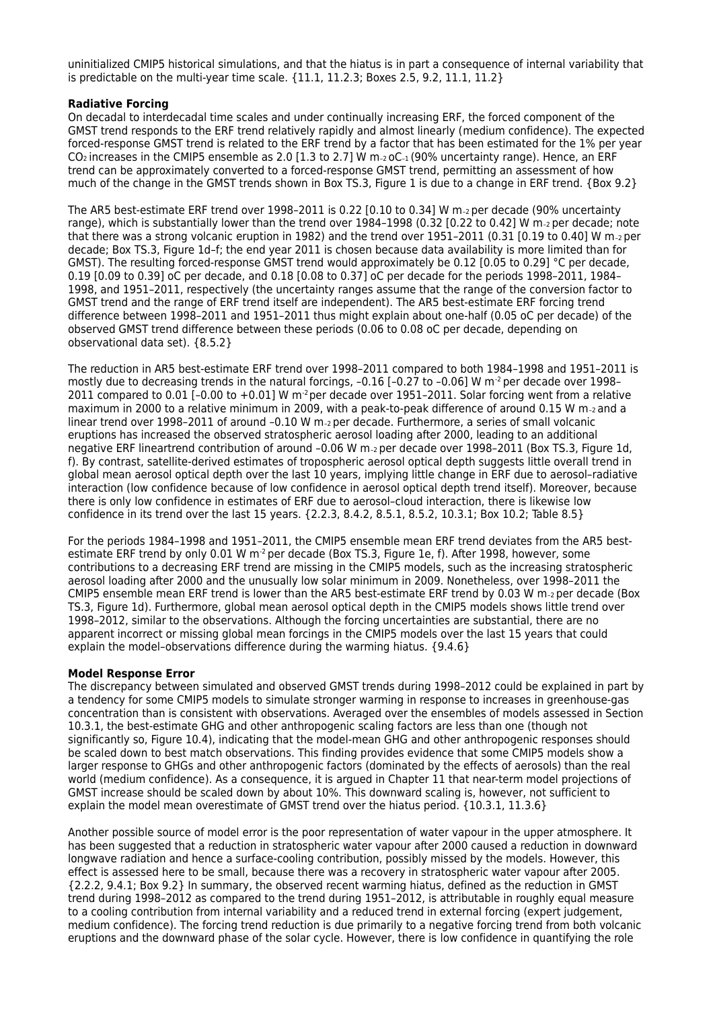uninitialized CMIP5 historical simulations, and that the hiatus is in part a consequence of internal variability that is predictable on the multi-year time scale.  $\{11.1, 11.2.3;$  Boxes 2.5, 9.2, 11.1, 11.2 $\}$ 

## **Radiative Forcing**

On decadal to interdecadal time scales and under continually increasing ERF, the forced component of the GMST trend responds to the ERF trend relatively rapidly and almost linearly (medium confidence). The expected forced-response GMST trend is related to the ERF trend by a factor that has been estimated for the 1% per year CO<sub>2</sub> increases in the CMIP5 ensemble as 2.0 [1.3 to 2.7] W  $m$ -2 oC-1 (90% uncertainty range). Hence, an ERF trend can be approximately converted to a forced-response GMST trend, permitting an assessment of how much of the change in the GMST trends shown in Box TS.3, Figure 1 is due to a change in ERF trend. {Box 9.2}

The AR5 best-estimate ERF trend over 1998–2011 is 0.22 [0.10 to 0.34] W m–2 per decade (90% uncertainty range), which is substantially lower than the trend over 1984-1998 (0.32 [0.22 to 0.42] W m-2 per decade; note that there was a strong volcanic eruption in 1982) and the trend over 1951-2011 (0.31 [0.19 to 0.40] W m- $_2$  per decade; Box TS.3, Figure 1d–f; the end year 2011 is chosen because data availability is more limited than for GMST). The resulting forced-response GMST trend would approximately be 0.12 [0.05 to 0.29] °C per decade, 0.19 [0.09 to 0.39] oC per decade, and 0.18 [0.08 to 0.37] oC per decade for the periods 1998–2011, 1984– 1998, and 1951–2011, respectively (the uncertainty ranges assume that the range of the conversion factor to GMST trend and the range of ERF trend itself are independent). The AR5 best-estimate ERF forcing trend difference between 1998–2011 and 1951–2011 thus might explain about one-half (0.05 oC per decade) of the observed GMST trend difference between these periods (0.06 to 0.08 oC per decade, depending on observational data set). {8.5.2}

The reduction in AR5 best-estimate ERF trend over 1998–2011 compared to both 1984–1998 and 1951–2011 is mostly due to decreasing trends in the natural forcings, -0.16 [-0.27 to -0.06] W m<sup>-2</sup> per decade over 1998-2011 compared to 0.01  $[-0.00 \text{ to } +0.01]$  W m<sup>-2</sup> per decade over 1951–2011. Solar forcing went from a relative maximum in 2000 to a relative minimum in 2009, with a peak-to-peak difference of around 0.15 W m–2 and a linear trend over 1998-2011 of around -0.10 W m-2 per decade. Furthermore, a series of small volcanic eruptions has increased the observed stratospheric aerosol loading after 2000, leading to an additional negative ERF lineartrend contribution of around –0.06 W m–2 per decade over 1998–2011 (Box TS.3, Figure 1d, f). By contrast, satellite-derived estimates of tropospheric aerosol optical depth suggests little overall trend in global mean aerosol optical depth over the last 10 years, implying little change in ERF due to aerosol–radiative interaction (low confidence because of low confidence in aerosol optical depth trend itself). Moreover, because there is only low confidence in estimates of ERF due to aerosol–cloud interaction, there is likewise low confidence in its trend over the last 15 years. {2.2.3, 8.4.2, 8.5.1, 8.5.2, 10.3.1; Box 10.2; Table 8.5}

For the periods 1984–1998 and 1951–2011, the CMIP5 ensemble mean ERF trend deviates from the AR5 bestestimate ERF trend by only 0.01 W m<sup>-2</sup> per decade (Box TS.3, Figure 1e, f). After 1998, however, some contributions to a decreasing ERF trend are missing in the CMIP5 models, such as the increasing stratospheric aerosol loading after 2000 and the unusually low solar minimum in 2009. Nonetheless, over 1998–2011 the CMIP5 ensemble mean ERF trend is lower than the AR5 best-estimate ERF trend by 0.03 W m–2 per decade (Box TS.3, Figure 1d). Furthermore, global mean aerosol optical depth in the CMIP5 models shows little trend over 1998–2012, similar to the observations. Although the forcing uncertainties are substantial, there are no apparent incorrect or missing global mean forcings in the CMIP5 models over the last 15 years that could explain the model–observations difference during the warming hiatus. {9.4.6}

## **Model Response Error**

The discrepancy between simulated and observed GMST trends during 1998–2012 could be explained in part by a tendency for some CMIP5 models to simulate stronger warming in response to increases in greenhouse-gas concentration than is consistent with observations. Averaged over the ensembles of models assessed in Section 10.3.1, the best-estimate GHG and other anthropogenic scaling factors are less than one (though not significantly so, Figure 10.4), indicating that the model-mean GHG and other anthropogenic responses should be scaled down to best match observations. This finding provides evidence that some CMIP5 models show a larger response to GHGs and other anthropogenic factors (dominated by the effects of aerosols) than the real world (medium confidence). As a consequence, it is argued in Chapter 11 that near-term model projections of GMST increase should be scaled down by about 10%. This downward scaling is, however, not sufficient to explain the model mean overestimate of GMST trend over the hiatus period. {10.3.1, 11.3.6}

Another possible source of model error is the poor representation of water vapour in the upper atmosphere. It has been suggested that a reduction in stratospheric water vapour after 2000 caused a reduction in downward longwave radiation and hence a surface-cooling contribution, possibly missed by the models. However, this effect is assessed here to be small, because there was a recovery in stratospheric water vapour after 2005. {2.2.2, 9.4.1; Box 9.2} In summary, the observed recent warming hiatus, defined as the reduction in GMST trend during 1998–2012 as compared to the trend during 1951–2012, is attributable in roughly equal measure to a cooling contribution from internal variability and a reduced trend in external forcing (expert judgement, medium confidence). The forcing trend reduction is due primarily to a negative forcing trend from both volcanic eruptions and the downward phase of the solar cycle. However, there is low confidence in quantifying the role